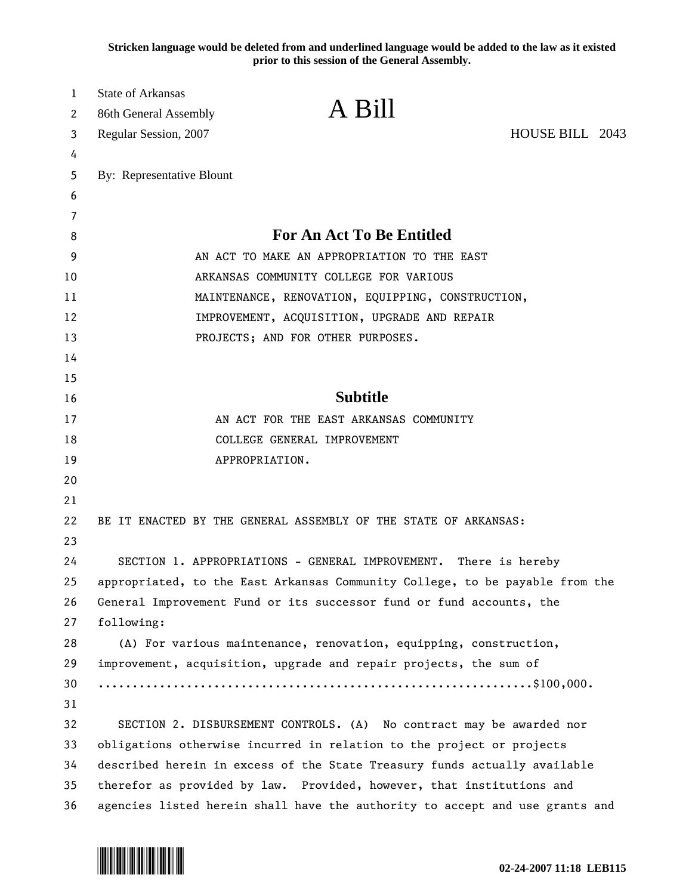**Stricken language would be deleted from and underlined language would be added to the law as it existed prior to this session of the General Assembly.**

| 1  | <b>State of Arkansas</b>                                                     |
|----|------------------------------------------------------------------------------|
| 2  | A Bill<br>86th General Assembly                                              |
| 3  | HOUSE BILL 2043<br>Regular Session, 2007                                     |
| 4  |                                                                              |
| 5  | By: Representative Blount                                                    |
| 6  |                                                                              |
| 7  |                                                                              |
| 8  | <b>For An Act To Be Entitled</b>                                             |
| 9  | AN ACT TO MAKE AN APPROPRIATION TO THE EAST                                  |
| 10 | ARKANSAS COMMUNITY COLLEGE FOR VARIOUS                                       |
| 11 | MAINTENANCE, RENOVATION, EQUIPPING, CONSTRUCTION,                            |
| 12 | IMPROVEMENT, ACQUISITION, UPGRADE AND REPAIR                                 |
| 13 | PROJECTS; AND FOR OTHER PURPOSES.                                            |
| 14 |                                                                              |
| 15 |                                                                              |
| 16 | <b>Subtitle</b>                                                              |
| 17 | AN ACT FOR THE EAST ARKANSAS COMMUNITY                                       |
| 18 | COLLEGE GENERAL IMPROVEMENT                                                  |
| 19 | APPROPRIATION.                                                               |
| 20 |                                                                              |
| 21 |                                                                              |
| 22 | BE IT ENACTED BY THE GENERAL ASSEMBLY OF THE STATE OF ARKANSAS:              |
| 23 |                                                                              |
| 24 | SECTION 1. APPROPRIATIONS - GENERAL IMPROVEMENT. There is hereby             |
| 25 | appropriated, to the East Arkansas Community College, to be payable from the |
| 26 | General Improvement Fund or its successor fund or fund accounts, the         |
| 27 | following:                                                                   |
| 28 | (A) For various maintenance, renovation, equipping, construction,            |
| 29 | improvement, acquisition, upgrade and repair projects, the sum of            |
| 30 |                                                                              |
| 31 |                                                                              |
| 32 | SECTION 2. DISBURSEMENT CONTROLS. (A) No contract may be awarded nor         |
| 33 | obligations otherwise incurred in relation to the project or projects        |
| 34 | described herein in excess of the State Treasury funds actually available    |
| 35 | therefor as provided by law. Provided, however, that institutions and        |
| 36 | agencies listed herein shall have the authority to accept and use grants and |